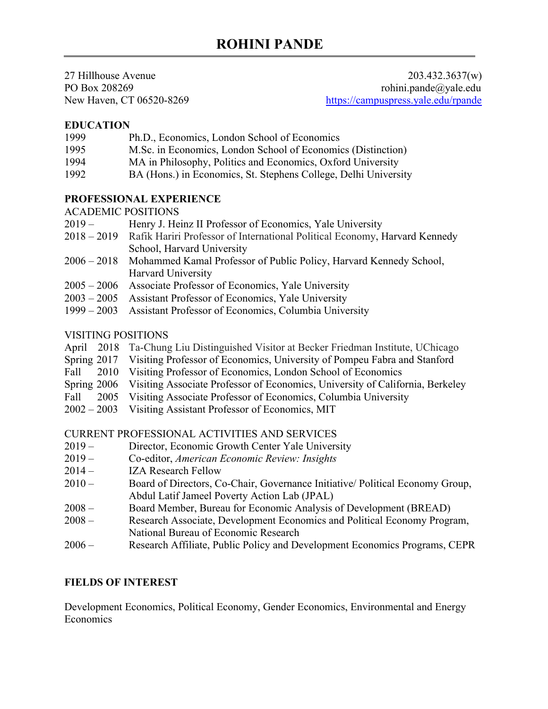27 Hillhouse Avenue 203.432.3637(w) PO Box 208269 rohini.pande@yale.edu New Haven, CT 06520-8269 <https://campuspress.yale.edu/rpande>

### **EDUCATION**

| 1999 | Ph.D., Economics, London School of Economics |
|------|----------------------------------------------|
|------|----------------------------------------------|

- 1995 M.Sc. in Economics, London School of Economics (Distinction)
- 1994 MA in Philosophy, Politics and Economics, Oxford University
- 1992 BA (Hons.) in Economics, St. Stephens College, Delhi University

### **PROFESSIONAL EXPERIENCE**

#### ACADEMIC POSITIONS

- 2019 Henry J. Heinz II Professor of Economics, Yale University
- 2018 2019 Rafik Hariri Professor of International Political Economy, Harvard Kennedy School, Harvard University
- 2006 2018 Mohammed Kamal Professor of Public Policy, Harvard Kennedy School, Harvard University
- 2005 2006 Associate Professor of Economics, Yale University
- 2003 2005 Assistant Professor of Economics, Yale University
- 1999 2003 Assistant Professor of Economics, Columbia University

### VISITING POSITIONS

- April 2018 Ta-Chung Liu Distinguished Visitor at Becker Friedman Institute, UChicago
- Spring 2017 Visiting Professor of Economics, University of Pompeu Fabra and Stanford
- Fall 2010 Visiting Professor of Economics, London School of Economics
- Spring 2006 Visiting Associate Professor of Economics, University of California, Berkeley
- Fall 2005 Visiting Associate Professor of Economics, Columbia University
- 2002 2003 Visiting Assistant Professor of Economics, MIT

#### CURRENT PROFESSIONAL ACTIVITIES AND SERVICES

- 2019 Director, Economic Growth Center Yale University
- 2019 Co-editor, *American Economic Review: Insights*
- 2014 IZA Research Fellow
- 2010 Board of Directors, Co-Chair, Governance Initiative/ Political Economy Group, Abdul Latif Jameel Poverty Action Lab (JPAL)
- 2008 Board Member, Bureau for Economic Analysis of Development (BREAD)
- 2008 Research Associate, Development Economics and Political Economy Program, National Bureau of Economic Research
- 2006 Research Affiliate, Public Policy and Development Economics Programs, CEPR

### **FIELDS OF INTEREST**

Development Economics, Political Economy, Gender Economics, Environmental and Energy **Economics**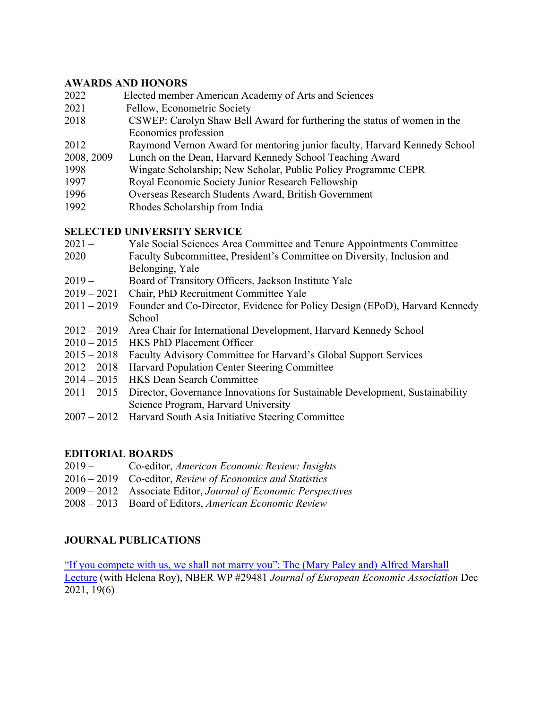### **AWARDS AND HONORS**

| 2022       | Elected member American Academy of Arts and Sciences                      |
|------------|---------------------------------------------------------------------------|
| 2021       | Fellow, Econometric Society                                               |
| 2018       | CSWEP: Carolyn Shaw Bell Award for furthering the status of women in the  |
|            | Economics profession                                                      |
| 2012       | Raymond Vernon Award for mentoring junior faculty, Harvard Kennedy School |
| 2008, 2009 | Lunch on the Dean, Harvard Kennedy School Teaching Award                  |
| 1998       | Wingate Scholarship; New Scholar, Public Policy Programme CEPR            |
| 1997       | Royal Economic Society Junior Research Fellowship                         |
| 1996       | Overseas Research Students Award, British Government                      |
|            |                                                                           |

1992 Rhodes Scholarship from India

### **SELECTED UNIVERSITY SERVICE**

- 2021 Yale Social Sciences Area Committee and Tenure Appointments Committee
- 2020 Faculty Subcommittee, President's Committee on Diversity, Inclusion and Belonging, Yale
- 2019 Board of Transitory Officers, Jackson Institute Yale
- 2019 2021 Chair, PhD Recruitment Committee Yale
- 2011 2019 Founder and Co-Director, Evidence for Policy Design (EPoD), Harvard Kennedy **School**
- 2012 2019 Area Chair for International Development, Harvard Kennedy School
- 2010 2015 HKS PhD Placement Officer
- 2015 2018 Faculty Advisory Committee for Harvard's Global Support Services
- 2012 2018 Harvard Population Center Steering Committee
- 2014 2015 HKS Dean Search Committee
- 2011 2015 Director, Governance Innovations for Sustainable Development, Sustainability Science Program, Harvard University
- 2007 2012 Harvard South Asia Initiative Steering Committee

# **EDITORIAL BOARDS**

- 2019 Co-editor, *American Economic Review: Insights*
- 2016 2019 Co-editor, *Review of Economics and Statistics*
- 2009 2012 Associate Editor, *Journal of Economic Perspectives*
- 2008 2013 Board of Editors, *American Economic Review*

### **JOURNAL PUBLICATIONS**

["If you compete with us, we shall not marry you": The \(Mary Paley and\) Alfred Marshall](https://cpb-us-w2.wpmucdn.com/campuspress.yale.edu/dist/7/2986/files/2021/11/Marshall2021-10.pdf)  [Lecture](https://cpb-us-w2.wpmucdn.com/campuspress.yale.edu/dist/7/2986/files/2021/11/Marshall2021-10.pdf) (with Helena Roy), NBER WP #29481 *Journal of European Economic Association* Dec 2021, 19(6)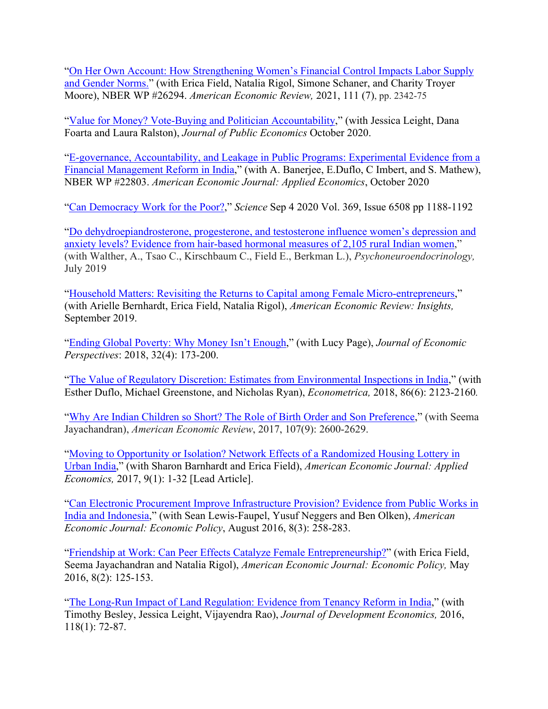["On Her Own Account: How Strengthening Women's Financial Control Impacts Labor Supply](https://cpb-us-w2.wpmucdn.com/campuspress.yale.edu/dist/7/2986/files/2021/02/z_FieldEtAl_FBA_Rev2_Websites.pdf)  [and Gender Norms."](https://cpb-us-w2.wpmucdn.com/campuspress.yale.edu/dist/7/2986/files/2021/02/z_FieldEtAl_FBA_Rev2_Websites.pdf) (with Erica Field, Natalia Rigol, Simone Schaner, and Charity Troyer Moore), NBER WP #26294. *American Economic Review,* 2021, 111 (7), pp. 2342-75

["Value for Money? Vote-Buying and Politician Accountability,](https://scholar.harvard.edu/files/rpande/files/value_for_money_sept26.pdf)" (with Jessica Leight, Dana Foarta and Laura Ralston), *Journal of Public Economics* October 2020.

["E-governance, Accountability, and Leakage in Public Programs: Experimental Evidence from a](https://www.nber.org/papers/w22803)  [Financial Management Reform in India,](https://www.nber.org/papers/w22803)" (with A. Banerjee, E.Duflo, C Imbert, and S. Mathew), NBER WP #22803. *American Economic Journal: Applied Economics*, October 2020

["Can Democracy Work for the Poor?,](https://campuspress.yale.edu/rpande/files/2020/09/1188.full_.pdf)" *Science* Sep 4 2020 Vol. 369, Issue 6508 pp 1188-1192

["Do dehydroepiandrosterone, progesterone, and testosterone influence women's depression and](https://reader.elsevier.com/reader/sd/pii/S0306453019300319?token=1A648E0306E0CC4FD7B6B0052499FB66F03AD4B17586F8203F7632F5E4341C15FDCFDC85C27A987620E6B5130B66EA56)  [anxiety levels? Evidence from hair-based hormonal measures of 2,105 rural Indian women,](https://reader.elsevier.com/reader/sd/pii/S0306453019300319?token=1A648E0306E0CC4FD7B6B0052499FB66F03AD4B17586F8203F7632F5E4341C15FDCFDC85C27A987620E6B5130B66EA56)" (with Walther, A., Tsao C., Kirschbaum C., Field E., Berkman L.), *Psychoneuroendocrinology,* July 2019

["Household Matters: Revisiting the Returns to Capital among Female Micro-entrepreneurs,](https://www.aeaweb.org/articles?id=10.1257/aeri.20180444&&from=f)" (with Arielle Bernhardt, Erica Field, Natalia Rigol), *American Economic Review: Insights,* September 2019.

["Ending Global Poverty: Why Money Isn't Enough,](https://cpb-us-w2.wpmucdn.com/campuspress.yale.edu/dist/7/2986/files/2019/06/JEP-2018_Ending-Global-Poverty_Page-Pande.pdf)" (with Lucy Page), *Journal of Economic Perspectives*: 2018, 32(4): 173-200.

["The Value of Regulatory Discretion: Estimates from Environmental Inspections in India,](https://www.econometricsociety.org/publications/econometrica/2018/11/01/value-regulatory-discretion-estimates-environmental-inspections)" (with Esther Duflo, Michael Greenstone, and Nicholas Ryan), *Econometrica,* 2018, 86(6): 2123-2160*.*

["Why Are Indian Children so Short? The Role of Birth Order and Son Preference,](https://www.aeaweb.org/articles?id=10.1257/aer.20151282)" (with Seema Jayachandran), *American Economic Review*, 2017, 107(9): 2600-2629.

["Moving to Opportunity or Isolation? Network Effects of a Randomized Housing Lottery in](https://www.aeaweb.org/articles?id=10.1257/app.20150397)  [Urban India,](https://www.aeaweb.org/articles?id=10.1257/app.20150397)" (with Sharon Barnhardt and Erica Field), *American Economic Journal: Applied Economics,* 2017, 9(1): 1-32 [Lead Article].

["Can Electronic Procurement Improve Infrastructure Provision? Evidence from Public Works in](https://www.aeaweb.org/articles?id=10.1257/pol.20140258)  [India and Indonesia,](https://www.aeaweb.org/articles?id=10.1257/pol.20140258)" (with Sean Lewis-Faupel, Yusuf Neggers and Ben Olken), *American Economic Journal: Economic Policy*, August 2016, 8(3): 258-283.

["Friendship at Work: Can Peer Effects](https://www.aeaweb.org/articles?id=10.1257/pol.20140215) Catalyze Female Entrepreneurship?" (with Erica Field, Seema Jayachandran and Natalia Rigol), *American Economic Journal: Economic Policy,* May 2016, 8(2): 125-153.

["The Long-Run Impact of Land Regulation: Evidence from Tenancy Reform in India,](https://www.sciencedirect.com/science/article/pii/S0304387815000929)" (with Timothy Besley, Jessica Leight, Vijayendra Rao), *Journal of Development Economics,* 2016, 118(1): 72-87.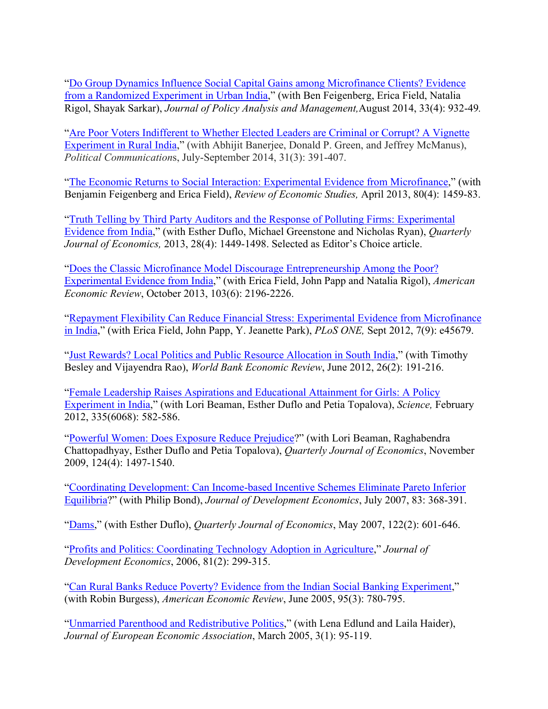["Do Group Dynamics Influence Social Capital Gains among Microfinance Clients? Evidence](https://onlinelibrary.wiley.com/doi/full/10.1002/pam.21790)  [from a Randomized Experiment in Urban India,](https://onlinelibrary.wiley.com/doi/full/10.1002/pam.21790)" (with Ben Feigenberg, Erica Field, Natalia Rigol, Shayak Sarkar), *Journal of Policy Analysis and Management,*August 2014, 33(4): 932-49*.* 

["Are Poor Voters Indifferent to Whether Elected Leaders are Criminal or Corrupt? A Vignette](https://wcfia.harvard.edu/publications/are-poor-voters-indifferent-whether-elected-leaders-are-criminal-or-corrupt)  [Experiment in Rural India,](https://wcfia.harvard.edu/publications/are-poor-voters-indifferent-whether-elected-leaders-are-criminal-or-corrupt)" (with Abhijit Banerjee, Donald P. Green, and Jeffrey McManus), *Political Communication*s, July-September 2014, 31(3): 391-407.

["The Economic Returns to Social Interaction: Experimental Evidence from Microfinance,](https://www.jstor.org/stable/43551564?seq=1#metadata_info_tab_contents)" (with Benjamin Feigenberg and Erica Field), *Review of Economic Studies,* April 2013, 80(4): 1459-83.

["Truth Telling by Third Party Auditors and the Response of Polluting Firms: Experimental](https://academic.oup.com/qje/article/128/4/1499/1850465?searchresult=1)  [Evidence from India,](https://academic.oup.com/qje/article/128/4/1499/1850465?searchresult=1)" (with Esther Duflo, Michael Greenstone and Nicholas Ryan), *Quarterly Journal of Economics,* 2013, 28(4): 1449-1498. Selected as Editor's Choice article.

["Does the Classic Microfinance Model Discourage Entrepreneurship Among the Poor?](https://www.aeaweb.org/articles?id=10.1257/aer.103.6.2196)  [Experimental Evidence from India,](https://www.aeaweb.org/articles?id=10.1257/aer.103.6.2196)" (with Erica Field, John Papp and Natalia Rigol), *American Economic Review*, October 2013, 103(6): 2196-2226.

["Repayment Flexibility Can Reduce Financial Stress: Experimental Evidence from Microfinance](https://journals.plos.org/plosone/article?id=10.1371/journal.pone.0045679)  [in India,](https://journals.plos.org/plosone/article?id=10.1371/journal.pone.0045679)" (with Erica Field, John Papp, Y. Jeanette Park), *PLoS ONE,* Sept 2012, 7(9): e45679.

["Just Rewards? Local Politics and Public Resource Allocation in South India,](https://elibrary.worldbank.org/doi/abs/10.1093/wber/lhr039)" (with Timothy Besley and Vijayendra Rao), *World Bank Economic Review*, June 2012, 26(2): 191-216.

["Female Leadership Raises Aspirations and Educational Attainment for Girls: A Policy](http://science.sciencemag.org/content/335/6068/582)  [Experiment in India,](http://science.sciencemag.org/content/335/6068/582)" (with Lori Beaman, Esther Duflo and Petia Topalova), *Science,* February 2012, 335(6068): 582-586.

["Powerful Women: Does Exposure Reduce Prejudice?](https://academic.oup.com/qje/article/124/4/1497/1917190)" (with Lori Beaman, Raghabendra Chattopadhyay, Esther Duflo and Petia Topalova), *Quarterly Journal of Economics*, November 2009, 124(4): 1497-1540.

["Coordinating Development: Can Income-based Incentive Schemes Eliminate Pareto Inferior](https://www.sciencedirect.com/science/article/pii/S0304387806001386)  [Equilibria?](https://www.sciencedirect.com/science/article/pii/S0304387806001386)" (with Philip Bond), *Journal of Development Economics*, July 2007, 83: 368-391.

["Dams,](https://academic.oup.com/qje/article/122/2/601/1942102)" (with Esther Duflo), *Quarterly Journal of Economics*, May 2007, 122(2): 601-646.

["Profits and Politics: Coordinating Technology Adoption in Agriculture,](https://www.sciencedirect.com/science/article/pii/S0304387806000654)" *Journal of Development Economics*, 2006, 81(2): 299-315.

["Can Rural Banks Reduce Poverty? Evidence from the Indian Social Banking Experiment,](https://www.aeaweb.org/articles?id=10.1257/0002828054201242)" (with Robin Burgess), *American Economic Review*, June 2005, 95(3): 780-795.

["Unmarried Parenthood and Redistributive Politics,](https://www.jstor.org/stable/40004944?seq=1#metadata_info_tab_contents)" (with Lena Edlund and Laila Haider), *Journal of European Economic Association*, March 2005, 3(1): 95-119.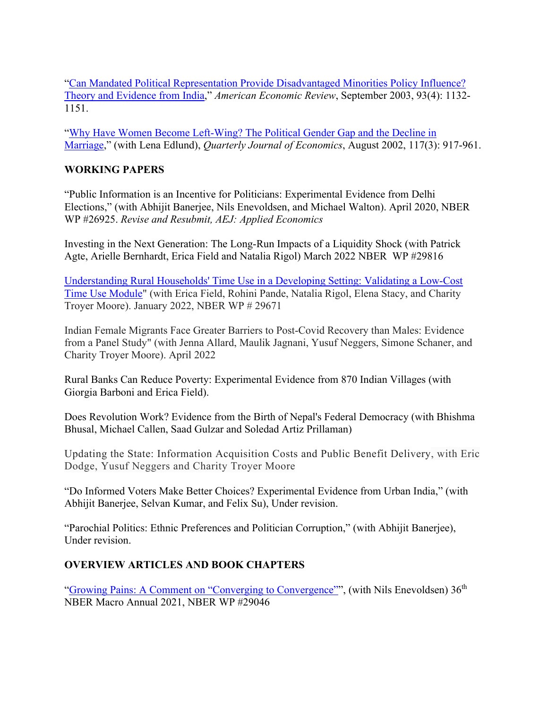["Can Mandated Political Representation Provide Disadvantaged Minorities Policy Influence?](https://www.aeaweb.org/articles?id=10.1257/000282803769206232)  [Theory and Evidence from India,](https://www.aeaweb.org/articles?id=10.1257/000282803769206232)" *American Economic Review*, September 2003, 93(4): 1132- 1151.

["Why Have Women Become Left-Wing? The Political Gender Gap and the Decline in](https://academic.oup.com/qje/article/117/3/917/1933043?searchresult=1)  [Marriage,](https://academic.oup.com/qje/article/117/3/917/1933043?searchresult=1)" (with Lena Edlund), *Quarterly Journal of Economics*, August 2002, 117(3): 917-961.

### **WORKING PAPERS**

"Public Information is an Incentive for Politicians: Experimental Evidence from Delhi Elections," (with Abhijit Banerjee, Nils Enevoldsen, and Michael Walton). April 2020, NBER WP #26925. *Revise and Resubmit, AEJ: Applied Economics*

Investing in the Next Generation: The Long-Run Impacts of a Liquidity Shock (with Patrick Agte, Arielle Bernhardt, Erica Field and Natalia Rigol) March 2022 NBER WP #29816

[Understanding Rural Households' Time Use in a Developing Setting: Validating a Low-Cost](https://drive.google.com/file/d/1-EgdfwXyW7FXc2UXAXDINIrJfo_V_z3Q/view?usp=sharing)  [Time Use Module"](https://drive.google.com/file/d/1-EgdfwXyW7FXc2UXAXDINIrJfo_V_z3Q/view?usp=sharing) (with Erica Field, Rohini Pande, Natalia Rigol, Elena Stacy, and Charity Troyer Moore). January 2022, NBER WP # 29671

Indian Female Migrants Face Greater Barriers to Post-Covid Recovery than Males: Evidence from a Panel Study" (with Jenna Allard, Maulik Jagnani, Yusuf Neggers, Simone Schaner, and Charity Troyer Moore). April 2022

Rural Banks Can Reduce Poverty: Experimental Evidence from 870 Indian Villages (with Giorgia Barboni and Erica Field).

Does Revolution Work? Evidence from the Birth of Nepal's Federal Democracy (with Bhishma Bhusal, Michael Callen, Saad Gulzar and Soledad Artiz Prillaman)

Updating the State: Information Acquisition Costs and Public Benefit Delivery, with Eric Dodge, Yusuf Neggers and Charity Troyer Moore

"Do Informed Voters Make Better Choices? Experimental Evidence from Urban India," (with Abhijit Banerjee, Selvan Kumar, and Felix Su), Under revision.

"Parochial Politics: Ethnic Preferences and Politician Corruption," (with Abhijit Banerjee), Under revision.

# **OVERVIEW ARTICLES AND BOOK CHAPTERS**

["Growing Pains: A Comment on "Converging to Convergence""](https://www.nber.org/system/files/working_papers/w29046/w29046.pdf), (with Nils Enevoldsen) 36<sup>th</sup> NBER Macro Annual 2021, NBER WP #29046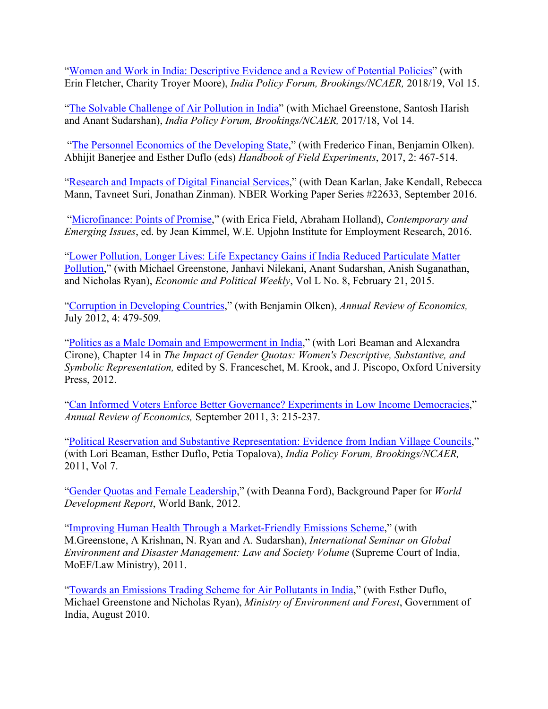["Women and Work in India: Descriptive Evidence and a Review of Potential Policies"](https://cpb-us-w2.wpmucdn.com/campuspress.yale.edu/dist/7/2986/files/2020/11/IndiaFLFP_WorkingPaper_IPF_10May2019_clean.pdf) (with Erin Fletcher, Charity Troyer Moore), *India Policy Forum, Brookings/NCAER,* 2018/19, Vol 15.

["The Solvable Challenge of Air Pollution in India"](https://cpb-us-w2.wpmucdn.com/campuspress.yale.edu/dist/7/2986/files/2019/06/IPF-2017_Solvable-Challenge-of-Air-Pollution-in-India_Greenstone-Harish-Sudarshan-Pande.pdf) (with Michael Greenstone, Santosh Harish and Anant Sudarshan), *India Policy Forum, Brookings/NCAER,* 2017/18, Vol 14.

 ["The Personnel Economics of the Developing State,](https://www.sciencedirect.com/science/article/pii/S2214658X16300034)" (with Frederico Finan, Benjamin Olken). Abhijit Banerjee and Esther Duflo (eds) *Handbook of Field Experiments*, 2017, 2: 467-514.

["Research and Impacts of Digital Financial Services,](https://www.nber.org/papers/w22633)" (with Dean Karlan, Jake Kendall, Rebecca Mann, Tavneet Suri, Jonathan Zinman). NBER Working Paper Series #22633, September 2016.

 ["Microfinance: Points of Promise,](https://research.upjohn.org/up_bookchapters/912/)" (with Erica Field, Abraham Holland), *Contemporary and Emerging Issues*, ed. by Jean Kimmel, W.E. Upjohn Institute for Employment Research, 2016.

["Lower Pollution, Longer Lives: Life Expectancy Gains if India Reduced Particulate Matter](https://www.epw.in/journal/2015/8/special-articles/lower-pollution-longer-lives.html)  [Pollution,](https://www.epw.in/journal/2015/8/special-articles/lower-pollution-longer-lives.html)" (with Michael Greenstone, Janhavi Nilekani, Anant Sudarshan, Anish Suganathan, and Nicholas Ryan), *Economic and Political Weekly*, Vol L No. 8, February 21, 2015.

["Corruption in Developing Countries,](https://www.annualreviews.org/doi/full/10.1146/annurev-economics-080511-110917)" (with Benjamin Olken), *Annual Review of Economics,* July 2012, 4: 479-509*.*

["Politics as a Male Domain and Empowerment in India,](http://www.oxfordscholarship.com/view/10.1093/acprof:oso/9780199830091.001.0001/acprof-9780199830091-chapter-13)" (with Lori Beaman and Alexandra Cirone), Chapter 14 in *The Impact of Gender Quotas: Women's Descriptive, Substantive, and Symbolic Representation,* edited by S. Franceschet, M. Krook, and J. Piscopo, Oxford University Press, 2012.

["Can Informed Voters Enforce Better Governance? Experiments in Low Income Democracies,](https://www.annualreviews.org/doi/10.1146/annurev-economics-061109-080154)" *Annual Review of Economics,* September 2011, 3: 215-237.

["Political Reservation and Substantive Representation: Evidence from Indian Village Councils,](http://www.ncaer.org/publication_details.php?pID=108)" (with Lori Beaman, Esther Duflo, Petia Topalova), *India Policy Forum, Brookings/NCAER,*  2011, Vol 7.

["Gender Quotas and Female Leadership,](https://openknowledge.worldbank.org/handle/10986/9120)" (with Deanna Ford), Background Paper for *World Development Report*, World Bank, 2012.

["Improving Human Health Through a Market-Friendly Emissions Scheme,](https://epod.cid.harvard.edu/publications/improving-human-health-through-market-friendly-emissions-scheme?page=0%2C0%2C0%2C0%2C0%2C0)" (with M.Greenstone, A Krishnan, N. Ryan and A. Sudarshan), *International Seminar on Global Environment and Disaster Management: Law and Society Volume* (Supreme Court of India, MoEF/Law Ministry), 2011.

["Towards an Emissions Trading Scheme for Air Pollutants in India,](https://epod.cid.harvard.edu/publications/towards-emissions-trading-scheme-air-pollutants-india)" (with Esther Duflo, Michael Greenstone and Nicholas Ryan), *Ministry of Environment and Forest*, Government of India, August 2010.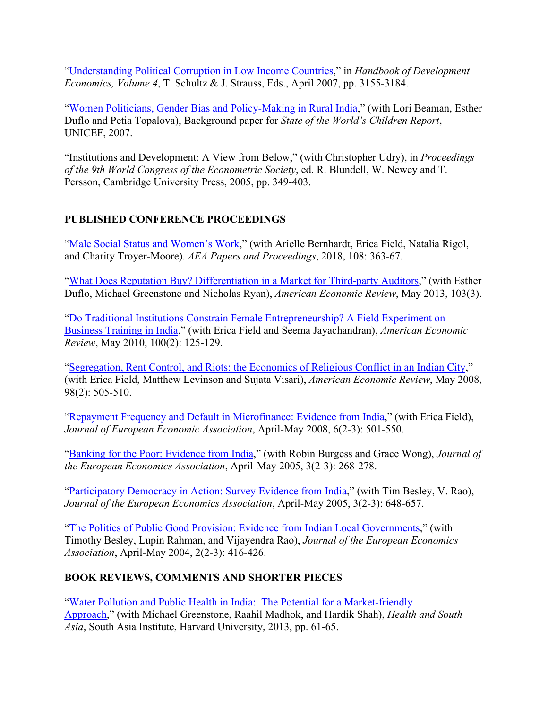["Understanding Political Corruption in Low Income Countries,](https://www.sciencedirect.com/science/article/pii/S1573447107040508)" in *Handbook of Development Economics, Volume 4*, T. Schultz & J. Strauss, Eds., April 2007, pp. 3155-3184.

["Women Politicians, Gender Bias and Policy-Making in Rural India,](https://www.unicef.org/french/sowc07/docs/beaman_duflo_pande_topalova.pdf)" (with Lori Beaman, Esther Duflo and Petia Topalova), Background paper for *State of the World's Children Report*, UNICEF, 2007.

"Institutions and Development: A View from Below," (with Christopher Udry), in *Proceedings of the 9th World Congress of the Econometric Society*, ed. R. Blundell, W. Newey and T. Persson, Cambridge University Press, 2005, pp. 349-403.

### **PUBLISHED CONFERENCE PROCEEDINGS**

["Male Social Status and Women's Work,](https://www.aeaweb.org/articles?id=10.1257/pandp.20181086)" (with Arielle Bernhardt, Erica Field, Natalia Rigol, and Charity Troyer-Moore). *AEA Papers and Proceedings*, 2018, 108: 363-67.

["What Does Reputation Buy? Differentiation in a Market for Third-party Auditors,](https://www.aeaweb.org/articles?id=10.1257/aer.103.3.314)" (with Esther Duflo, Michael Greenstone and Nicholas Ryan), *American Economic Review*, May 2013, 103(3).

["Do Traditional Institutions Constrain Female Entrepreneurship? A Field Experiment on](https://www.aeaweb.org/articles?id=10.1257/aer.100.2.125)  [Business Training in India,](https://www.aeaweb.org/articles?id=10.1257/aer.100.2.125)" (with Erica Field and Seema Jayachandran), *American Economic Review*, May 2010, 100(2): 125-129.

["Segregation, Rent Control, and Riots: the Economics of Religious Conflict in an Indian City,](https://www.aeaweb.org/articles?id=10.1257/aer.98.2.505)" (with Erica Field, Matthew Levinson and Sujata Visari), *American Economic Review*, May 2008, 98(2): 505-510.

["Repayment Frequency and Default in Microfinance: Evidence from India,](https://academic.oup.com/jeea/article/6/2-3/501/2295856)" (with Erica Field), *Journal of European Economic Association*, April-May 2008, 6(2-3): 501-550.

["Banking for the Poor: Evidence from India,](https://academic.oup.com/jeea/article/3/2-3/268/2280907?searchresult=1)" (with Robin Burgess and Grace Wong), *Journal of the European Economics Association*, April-May 2005, 3(2-3): 268-278.

["Participatory Democracy in Action: Survey Evidence from India,](https://academic.oup.com/jeea/article/3/2-3/648/2281515?searchresult=1)" (with Tim Besley, V. Rao), *Journal of the European Economics Association*, April-May 2005, 3(2-3): 648-657.

["The Politics of Public Good Provision: Evidence from Indian Local Governments,](https://academic.oup.com/jeea/article/2/2-3/416/2194944?searchresult=1)" (with Timothy Besley, Lupin Rahman, and Vijayendra Rao), *Journal of the European Economics Association*, April-May 2004, 2(2-3): 416-426.

# **BOOK REVIEWS, COMMENTS AND SHORTER PIECES**

["Water Pollution and Public Health in India: The Potential for a Market-friendly](https://issuu.com/sainit/docs/healthandsouthasiabook/69)  [Approach,](https://issuu.com/sainit/docs/healthandsouthasiabook/69)" (with Michael Greenstone, Raahil Madhok, and Hardik Shah), *Health and South Asia*, South Asia Institute, Harvard University, 2013, pp. 61-65.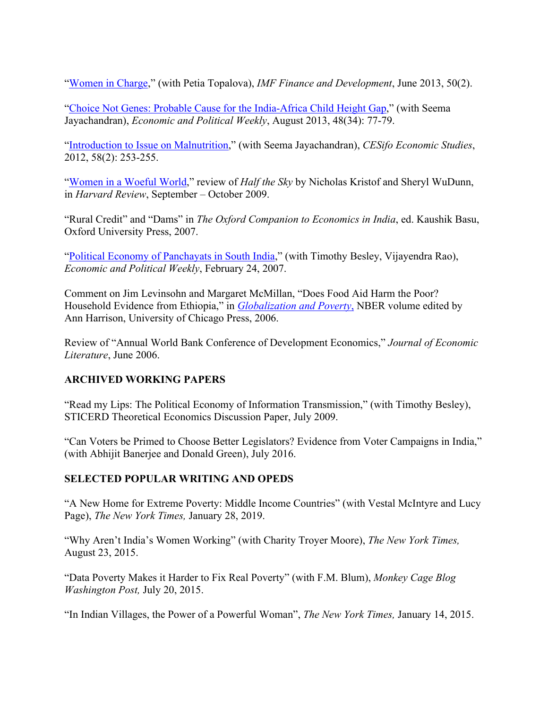["Women in Charge,](https://www.imf.org/external/pubs/ft/fandd/2013/06/pande.htm)" (with Petia Topalova), *IMF Finance and Development*, June 2013, 50(2).

["Choice Not Genes: Probable Cause for the India-Africa Child Height Gap,](https://www.epw.in/journal/2013/34/discussion/choice-not-genes.html)" (with Seema Jayachandran), *Economic and Political Weekly*, August 2013, 48(34): 77-79.

["Introduction to Issue on Malnutrition,](https://academic.oup.com/cesifo/article/58/2/253/360006)" (with Seema Jayachandran), *CESifo Economic Studies*, 2012, 58(2): 253-255.

["Women in a Woeful World,](https://harvardmagazine.com/2009/09/book-review-half-the-sky)" review of *Half the Sky* by Nicholas Kristof and Sheryl WuDunn, in *Harvard Review*, September – October 2009.

"Rural Credit" and "Dams" in *The Oxford Companion to Economics in India*, ed. Kaushik Basu, Oxford University Press, 2007.

["Political Economy of Panchayats in South India,](https://www.jstor.org/stable/4419281?seq=1#metadata_info_tab_contents)" (with Timothy Besley, Vijayendra Rao), *Economic and Political Weekly*, February 24, 2007.

Comment on Jim Levinsohn and Margaret McMillan, "Does Food Aid Harm the Poor? Household Evidence from Ethiopia," in *[Globalization and Poverty](https://press.uchicago.edu/ucp/books/book/chicago/G/bo4234967.html)*, NBER volume edited by Ann Harrison, University of Chicago Press, 2006.

Review of "Annual World Bank Conference of Development Economics," *Journal of Economic Literature*, June 2006.

### **ARCHIVED WORKING PAPERS**

"Read my Lips: The Political Economy of Information Transmission," (with Timothy Besley), STICERD Theoretical Economics Discussion Paper, July 2009.

"Can Voters be Primed to Choose Better Legislators? Evidence from Voter Campaigns in India," (with Abhijit Banerjee and Donald Green), July 2016.

### **SELECTED POPULAR WRITING AND OPEDS**

"A New Home for Extreme Poverty: Middle Income Countries" (with Vestal McIntyre and Lucy Page), *The New York Times,* January 28, 2019.

"Why Aren't India's Women Working" (with Charity Troyer Moore), *The New York Times,* August 23, 2015.

"Data Poverty Makes it Harder to Fix Real Poverty" (with F.M. Blum), *Monkey Cage Blog Washington Post,* July 20, 2015.

"In Indian Villages, the Power of a Powerful Woman", *The New York Times,* January 14, 2015.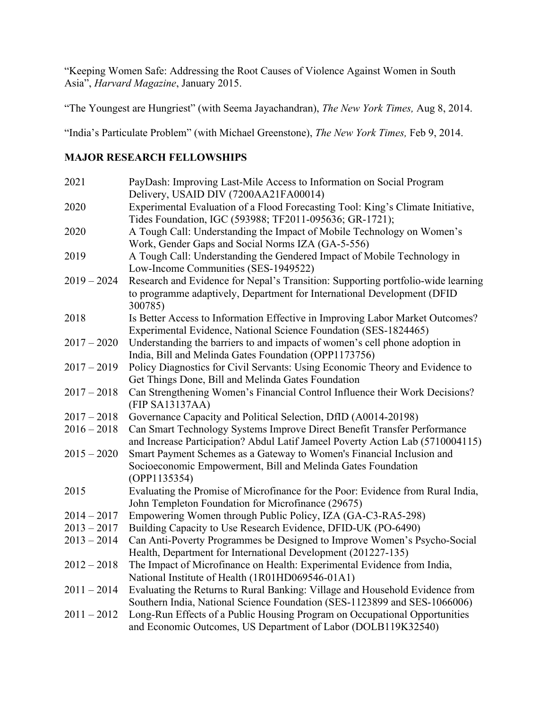"Keeping Women Safe: Addressing the Root Causes of Violence Against Women in South Asia", *Harvard Magazine*, January 2015.

"The Youngest are Hungriest" (with Seema Jayachandran), *The New York Times,* Aug 8, 2014.

"India's Particulate Problem" (with Michael Greenstone), *The New York Times,* Feb 9, 2014.

### **MAJOR RESEARCH FELLOWSHIPS**

| 2021          | PayDash: Improving Last-Mile Access to Information on Social Program               |
|---------------|------------------------------------------------------------------------------------|
|               | Delivery, USAID DIV (7200AA21FA00014)                                              |
| 2020          | Experimental Evaluation of a Flood Forecasting Tool: King's Climate Initiative,    |
|               | Tides Foundation, IGC (593988; TF2011-095636; GR-1721);                            |
| 2020          | A Tough Call: Understanding the Impact of Mobile Technology on Women's             |
|               | Work, Gender Gaps and Social Norms IZA (GA-5-556)                                  |
| 2019          | A Tough Call: Understanding the Gendered Impact of Mobile Technology in            |
|               | Low-Income Communities (SES-1949522)                                               |
| $2019 - 2024$ | Research and Evidence for Nepal's Transition: Supporting portfolio-wide learning   |
|               | to programme adaptively, Department for International Development (DFID<br>300785) |
| 2018          | Is Better Access to Information Effective in Improving Labor Market Outcomes?      |
|               | Experimental Evidence, National Science Foundation (SES-1824465)                   |
| $2017 - 2020$ | Understanding the barriers to and impacts of women's cell phone adoption in        |
|               | India, Bill and Melinda Gates Foundation (OPP1173756)                              |
| $2017 - 2019$ | Policy Diagnostics for Civil Servants: Using Economic Theory and Evidence to       |
|               | Get Things Done, Bill and Melinda Gates Foundation                                 |
| $2017 - 2018$ | Can Strengthening Women's Financial Control Influence their Work Decisions?        |
|               | (FIP SA13137AA)                                                                    |
| $2017 - 2018$ | Governance Capacity and Political Selection, DfID (A0014-20198)                    |
| $2016 - 2018$ | Can Smart Technology Systems Improve Direct Benefit Transfer Performance           |
|               | and Increase Participation? Abdul Latif Jameel Poverty Action Lab (5710004115)     |
| $2015 - 2020$ | Smart Payment Schemes as a Gateway to Women's Financial Inclusion and              |
|               | Socioeconomic Empowerment, Bill and Melinda Gates Foundation                       |
|               | (OPP1135354)                                                                       |
| 2015          | Evaluating the Promise of Microfinance for the Poor: Evidence from Rural India,    |
|               | John Templeton Foundation for Microfinance (29675)                                 |
| $2014 - 2017$ | Empowering Women through Public Policy, IZA (GA-C3-RA5-298)                        |
| $2013 - 2017$ | Building Capacity to Use Research Evidence, DFID-UK (PO-6490)                      |
| $2013 - 2014$ | Can Anti-Poverty Programmes be Designed to Improve Women's Psycho-Social           |
|               | Health, Department for International Development (201227-135)                      |
| $2012 - 2018$ | The Impact of Microfinance on Health: Experimental Evidence from India,            |
|               | National Institute of Health (1R01HD069546-01A1)                                   |
| $2011 - 2014$ | Evaluating the Returns to Rural Banking: Village and Household Evidence from       |
|               | Southern India, National Science Foundation (SES-1123899 and SES-1066006)          |
| $2011 - 2012$ | Long-Run Effects of a Public Housing Program on Occupational Opportunities         |
|               | and Economic Outcomes, US Department of Labor (DOLB119K32540)                      |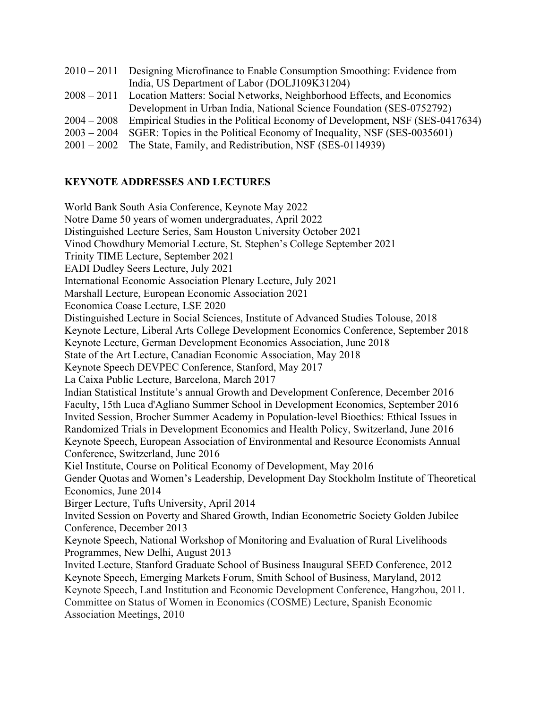|               | 2010 – 2011 Designing Microfinance to Enable Consumption Smoothing: Evidence from  |
|---------------|------------------------------------------------------------------------------------|
|               | India, US Department of Labor (DOLJ109K31204)                                      |
|               | 2008 – 2011 Location Matters: Social Networks, Neighborhood Effects, and Economics |
|               | Development in Urban India, National Science Foundation (SES-0752792)              |
| $2004 - 2008$ | Empirical Studies in the Political Economy of Development, NSF (SES-0417634)       |
| $2003 - 2004$ | SGER: Topics in the Political Economy of Inequality, NSF (SES-0035601)             |
| $2001 - 2002$ | The State, Family, and Redistribution, NSF (SES-0114939)                           |
|               |                                                                                    |

#### **KEYNOTE ADDRESSES AND LECTURES**

World Bank South Asia Conference, Keynote May 2022 Notre Dame 50 years of women undergraduates, April 2022 Distinguished Lecture Series, Sam Houston University October 2021 Vinod Chowdhury Memorial Lecture, St. Stephen's College September 2021 Trinity TIME Lecture, September 2021 EADI Dudley Seers Lecture, July 2021 International Economic Association Plenary Lecture, July 2021 Marshall Lecture, European Economic Association 2021 Economica Coase Lecture, LSE 2020 Distinguished Lecture in Social Sciences, Institute of Advanced Studies Tolouse, 2018 Keynote Lecture, Liberal Arts College Development Economics Conference, September 2018 Keynote Lecture, German Development Economics Association, June 2018 State of the Art Lecture, Canadian Economic Association, May 2018 Keynote Speech DEVPEC Conference, Stanford, May 2017 La Caixa Public Lecture, Barcelona, March 2017 Indian Statistical Institute's annual Growth and Development Conference, December 2016 Faculty, 15th Luca d'Agliano Summer School in Development Economics, September 2016 Invited Session, Brocher Summer Academy in Population-level Bioethics: Ethical Issues in Randomized Trials in Development Economics and Health Policy, Switzerland, June 2016 Keynote Speech, European Association of Environmental and Resource Economists Annual Conference, Switzerland, June 2016 Kiel Institute, Course on Political Economy of Development, May 2016 Gender Quotas and Women's Leadership, Development Day Stockholm Institute of Theoretical Economics, June 2014 Birger Lecture, Tufts University, April 2014 Invited Session on Poverty and Shared Growth, Indian Econometric Society Golden Jubilee Conference, December 2013 Keynote Speech, National Workshop of Monitoring and Evaluation of Rural Livelihoods Programmes, New Delhi, August 2013 Invited Lecture, Stanford Graduate School of Business Inaugural SEED Conference, 2012 Keynote Speech, Emerging Markets Forum, Smith School of Business, Maryland, 2012 Keynote Speech, Land Institution and Economic Development Conference, Hangzhou, 2011. Committee on Status of Women in Economics (COSME) Lecture, Spanish Economic Association Meetings, 2010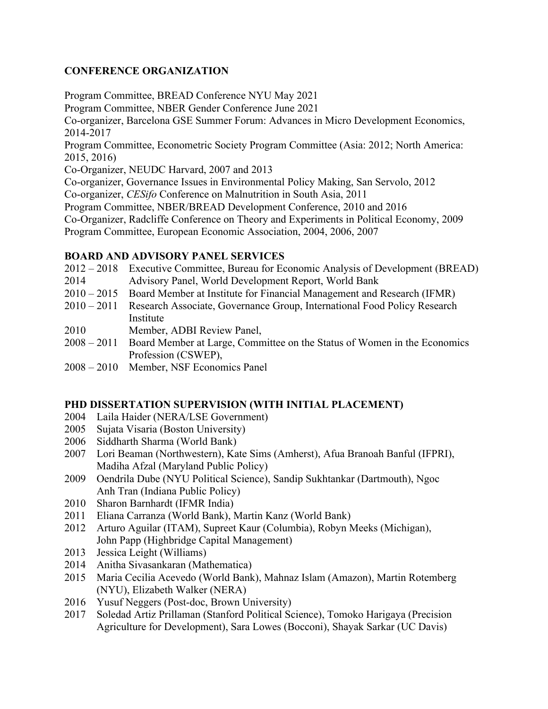### **CONFERENCE ORGANIZATION**

Program Committee, BREAD Conference NYU May 2021

Program Committee, NBER Gender Conference June 2021

Co-organizer, Barcelona GSE Summer Forum: Advances in Micro Development Economics, 2014-2017

Program Committee, Econometric Society Program Committee (Asia: 2012; North America: 2015, 2016)

Co-Organizer, NEUDC Harvard, 2007 and 2013

Co-organizer, Governance Issues in Environmental Policy Making, San Servolo, 2012 Co-organizer, *CESifo* Conference on Malnutrition in South Asia, 2011

Program Committee, NBER/BREAD Development Conference, 2010 and 2016

Co-Organizer, Radcliffe Conference on Theory and Experiments in Political Economy, 2009

Program Committee, European Economic Association, 2004, 2006, 2007

### **BOARD AND ADVISORY PANEL SERVICES**

- 2012 2018 Executive Committee, Bureau for Economic Analysis of Development (BREAD)
- 2014 Advisory Panel, World Development Report, World Bank
- 2010 2015 Board Member at Institute for Financial Management and Research (IFMR)
- 2010 2011 Research Associate, Governance Group, International Food Policy Research Institute
- 2010 Member, ADBI Review Panel,
- 2008 2011 Board Member at Large, Committee on the Status of Women in the Economics Profession (CSWEP),
- 2008 2010 Member, NSF Economics Panel

### **PHD DISSERTATION SUPERVISION (WITH INITIAL PLACEMENT)**

- 2004 Laila Haider (NERA/LSE Government)
- 2005 Sujata Visaria (Boston University)
- 2006 Siddharth Sharma (World Bank)
- 2007 Lori Beaman (Northwestern), Kate Sims (Amherst), Afua Branoah Banful (IFPRI), Madiha Afzal (Maryland Public Policy)
- 2009 Oendrila Dube (NYU Political Science), Sandip Sukhtankar (Dartmouth), Ngoc Anh Tran (Indiana Public Policy)
- 2010 Sharon Barnhardt (IFMR India)
- 2011 Eliana Carranza (World Bank), Martin Kanz (World Bank)
- 2012 Arturo Aguilar (ITAM), Supreet Kaur (Columbia), Robyn Meeks (Michigan), John Papp (Highbridge Capital Management)
- 2013 Jessica Leight (Williams)
- 2014 Anitha Sivasankaran (Mathematica)
- 2015 Maria Cecilia Acevedo (World Bank), Mahnaz Islam (Amazon), Martin Rotemberg (NYU), Elizabeth Walker (NERA)
- 2016 Yusuf Neggers (Post-doc, Brown University)
- 2017 Soledad Artiz Prillaman (Stanford Political Science), Tomoko Harigaya (Precision Agriculture for Development), Sara Lowes (Bocconi), Shayak Sarkar (UC Davis)